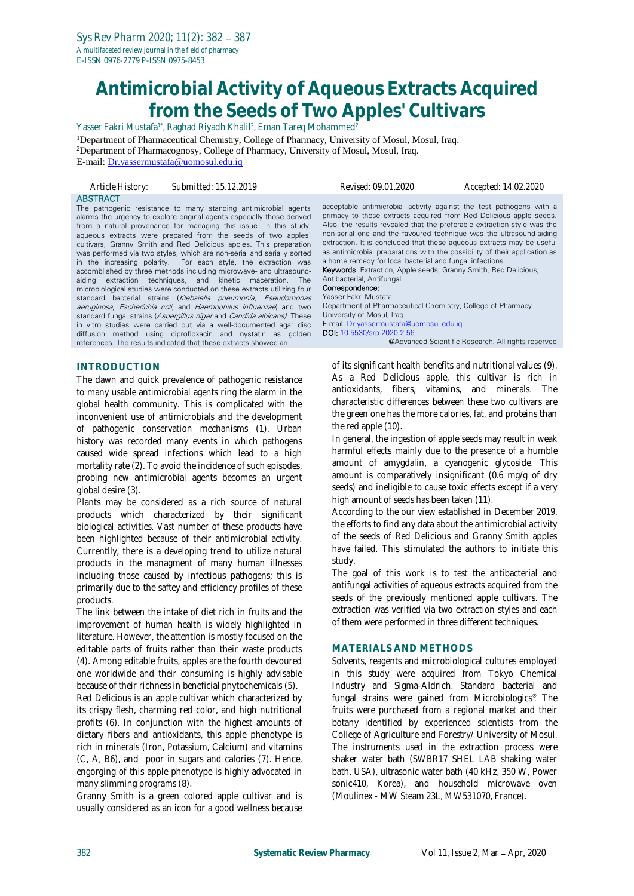# **Antimicrobial Activity of Aqueous Extracts Acquired from the Seeds of Two Apples' Cultivars**

Yasser Fakri Mustafa<sup>1\*</sup>, Raghad Riyadh Khalil<sup>2</sup>, Eman Tareq Mohammed<sup>2</sup>

<sup>1</sup>Department of Pharmaceutical Chemistry, College of Pharmacy, University of Mosul, Mosul, Iraq. <sup>2</sup>Department of Pharmacognosy, College of Pharmacy, University of Mosul, Mosul, Iraq. E-mail: [Dr.yassermustafa@uomosul.edu.iq](mailto:Dr.yassermustafa@uomosul.edu.iq)

*Article History: Submitted: 15.12.2019 Revised: 09.01.2020 Accepted: 14.02.2020* ABSTRACT The pathogenic resistance to many standing antimicrobial agents alarms the urgency to explore original agents especially those derived from a natural provenance for managing this issue. In this study, aqueous extracts were prepared from the seeds of two apples' cultivars, Granny Smith and Red Delicious apples. This preparation was performed via two styles, which are non-serial and serially sorted in the increasing polarity. For each style, the extraction was accomblished by three methods including microwave- and ultrasoundaiding extraction techniques, and kinetic maceration. The microbiological studies were conducted on these extracts utilizing four standard bacterial strains (Klebsiella pneumonia, Pseudomonas acceptable antimicrobial activity against the test pathogens with a primacy to those extracts acquired from Red Delicious apple seeds. Also, the results revealed that the preferable extraction style was the non-serial one and the favoured technique was the ultrasound-aiding extraction. It is concluded that these aqueous extracts may be useful as antimicrobial preparations with the possibility of their application as a home remedy for local bacterial and fungal infections. Keywords: Extraction, Apple seeds, Granny Smith, Red Delicious, Antibacterial, Antifungal. Correspondence: Yasser Fakri Mustafa

aeruginosa, Escherichia coli, and Haemophilus influenzae) and two standard fungal strains (Aspergillus niger and Candida albicans). These in vitro studies were carried out via a well-documented agar disc diffusion method using ciprofloxacin and nystatin as golden references. The results indicated that these extracts showed an

# **INTRODUCTION**

The dawn and quick prevalence of pathogenic resistance to many usable antimicrobial agents ring the alarm in the global health community. This is complicated with the inconvenient use of antimicrobials and the development of pathogenic conservation mechanisms (1). Urban history was recorded many events in which pathogens caused wide spread infections which lead to a high mortality rate (2). To avoid the incidence of such episodes, probing new antimicrobial agents becomes an urgent global desire (3).

Plants may be considered as a rich source of natural products which characterized by their significant biological activities. Vast number of these products have been highlighted because of their antimicrobial activity. Currentlly, there is a developing trend to utilize natural products in the managment of many human illnesses including those caused by infectious pathogens; this is primarily due to the saftey and efficiency profiles of these products.

The link between the intake of diet rich in fruits and the improvement of human health is widely highlighted in literature. However, the attention is mostly focused on the editable parts of fruits rather than their waste products (4). Among editable fruits, apples are the fourth devoured one worldwide and their consuming is highly advisable because of their richness in beneficial phytochemicals (5).

Red Delicious is an apple cultivar which characterized by its crispy flesh, charming red color, and high nutritional profits (6). In conjunction with the highest amounts of dietary fibers and antioxidants, this apple phenotype is rich in minerals (Iron, Potassium, Calcium) and vitamins (C, A, B6), and poor in sugars and calories (7). Hence, engorging of this apple phenotype is highly advocated in many slimming programs (8).

Granny Smith is a green colored apple cultivar and is usually considered as an icon for a good wellness because Department of Pharmaceutical Chemistry, College of Pharmacy University of Mosul, Iraq E-mail: [Dr.yassermustafa@uomosul.edu.iq](mailto:Dr.yassermustafa@uomosul.edu.iq) DOI[: 10.5530/srp.2020.2.56](http://dx.doi.org/10.5530/srp.2019.2.04)

@Advanced Scientific Research. All rights reserved

of its significant health benefits and nutritional values (9). As a Red Delicious apple, this cultivar is rich in antioxidants, fibers, vitamins, and minerals. The characteristic differences between these two cultivars are the green one has the more calories, fat, and proteins than the red apple (10).

In general, the ingestion of apple seeds may result in weak harmful effects mainly due to the presence of a humble amount of amygdalin, a cyanogenic glycoside. This amount is comparatively insignificant (0.6 mg/g of dry seeds) and ineligible to cause toxic effects except if a very high amount of seeds has been taken (11).

According to the our view established in December 2019, the efforts to find any data about the antimicrobial activity of the seeds of Red Delicious and Granny Smith apples have failed. This stimulated the authors to initiate this study.

The goal of this work is to test the antibacterial and antifungal activities of aqueous extracts acquired from the seeds of the previously mentioned apple cultivars. The extraction was verified via two extraction styles and each of them were performed in three different techniques.

# **MATERIALS AND METHODS**

Solvents, reagents and microbiological cultures employed in this study were acquired from Tokyo Chemical Industry and Sigma-Aldrich. Standard bacterial and fungal strains were gained from Microbiologics® . The fruits were purchased from a regional market and their botany identified by experienced scientists from the College of Agriculture and Forestry/ University of Mosul. The instruments used in the extraction process were shaker water bath (SWBR17 SHEL LAB shaking water bath, USA), ultrasonic water bath (40 kHz, 350 W, Power sonic410, Korea), and household microwave oven (Moulinex - MW Steam 23L, MW531070, France).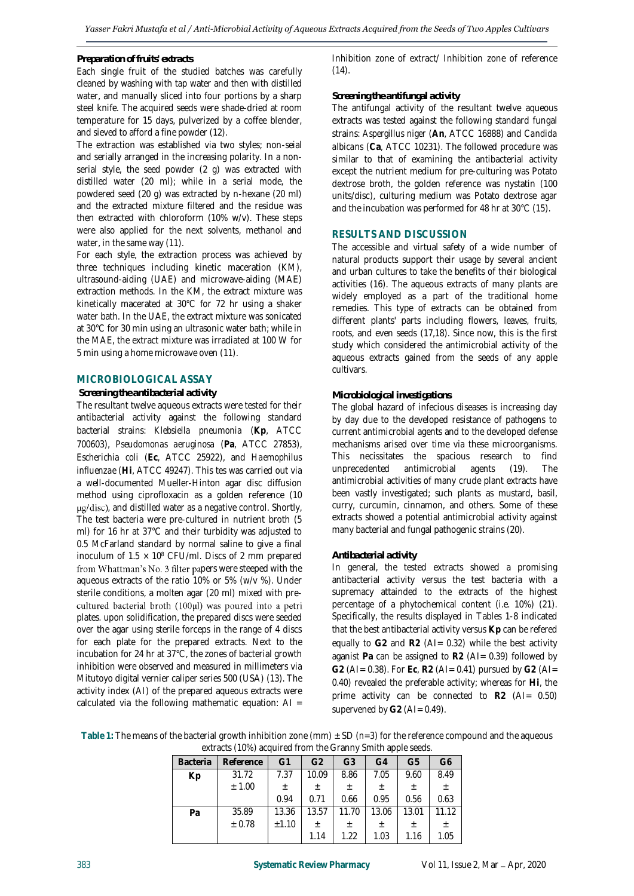## *Preparation of fruits' extracts*

Each single fruit of the studied batches was carefully cleaned by washing with tap water and then with distilled water, and manually sliced into four portions by a sharp steel knife. The acquired seeds were shade-dried at room temperature for 15 days, pulverized by a coffee blender, and sieved to afford a fine powder (12).

The extraction was established via two styles; non-seial and serially arranged in the increasing polarity. In a nonserial style, the seed powder (2 g) was extracted with distilled water (20 ml); while in a serial mode, the powdered seed (20 g) was extracted by n-hexane (20 ml) and the extracted mixture filtered and the residue was then extracted with chloroform (10% w/v). These steps were also applied for the next solvents, methanol and water, in the same way (11).

For each style, the extraction process was achieved by three techniques including kinetic maceration (KM), ultrasound-aiding (UAE) and microwave-aiding (MAE) extraction methods. In the KM, the extract mixture was kinetically macerated at 30°C for 72 hr using a shaker water bath. In the UAE, the extract mixture was sonicated at 30°C for 30 min using an ultrasonic water bath; while in the MAE, the extract mixture was irradiated at 100 W for 5 min using a home microwave oven (11).

## **MICROBIOLOGICAL ASSAY**

#### *Screening the antibacterial activity*

The resultant twelve aqueous extracts were tested for their antibacterial activity against the following standard bacterial strains: *Klebsiella pneumonia* (**Kp**, ATCC 700603), *Pseudomonas aeruginosa* (**Pa**, ATCC 27853), *Escherichia coli* (**Ec**, ATCC 25922), and *Haemophilus influenzae* (**Hi**, ATCC 49247). This tes was carried out via a well-documented Mueller-Hinton agar disc diffusion method using ciprofloxacin as a golden reference (10 ug/disc), and distilled water as a negative control. Shortly, The test bacteria were pre-cultured in nutrient broth (5 ml) for 16 hr at 37°C and their turbidity was adjusted to 0.5 McFarland standard by normal saline to give a final inoculum of  $1.5 \times 10^8$  CFU/ml. Discs of 2 mm prepared from Whattman's No. 3 filter papers were steeped with the aqueous extracts of the ratio 10% or 5% (w/v %). Under sterile conditions, a molten agar (20 ml) mixed with precultured bacterial broth (100µl) was poured into a petri plates. upon solidification, the prepared discs were seeded over the agar using sterile forceps in the range of 4 discs for each plate for the prepared extracts. Next to the incubation for 24 hr at 37°C, the zones of bacterial growth inhibition were observed and measured in millimeters via Mitutoyo digital vernier caliper series 500 (USA) (13). The activity index (AI) of the prepared aqueous extracts were calculated via the following mathematic equation:  $AI =$ 

Inhibition zone of extract/ Inhibition zone of reference  $(14)$ .

#### *Screening the antifungal activity*

The antifungal activity of the resultant twelve aqueous extracts was tested against the following standard fungal strains: *Aspergillus niger* (**An**, ATCC 16888) and *Candida albicans* (**Ca**, ATCC 10231). The followed procedure was similar to that of examining the antibacterial activity except the nutrient medium for pre-culturing was Potato dextrose broth, the golden reference was nystatin (100 units/disc), culturing medium was Potato dextrose agar and the incubation was performed for 48 hr at 30°C (15).

## **RESULTS AND DISCUSSION**

The accessible and virtual safety of a wide number of natural products support their usage by several ancient and urban cultures to take the benefits of their biological activities (16). The aqueous extracts of many plants are widely employed as a part of the traditional home remedies. This type of extracts can be obtained from different plants' parts including flowers, leaves, fruits, roots, and even seeds (17,18). Since now, this is the first study which considered the antimicrobial activity of the aqueous extracts gained from the seeds of any apple cultivars.

## *Microbiological investigations*

The global hazard of infecious diseases is increasing day by day due to the developed resistance of pathogens to current antimicrobial agents and to the developed defense mechanisms arised over time via these microorganisms. This necissitates the spacious research to find unprecedented antimicrobial agents (19). The antimicrobial activities of many crude plant extracts have been vastly investigated; such plants as mustard, basil, curry, curcumin, cinnamon, and others. Some of these extracts showed a potential antimicrobial activity against many bacterial and fungal pathogenic strains (20).

#### *Antibacterial activity*

In general, the tested extracts showed a promising antibacterial activity versus the test bacteria with a supremacy attainded to the extracts of the highest percentage of a phytochemical content (i.e. 10%) (21). Specifically, the results displayed in Tables 1-8 indicated that the best antibacterial activity versus **Kp** can be refered equally to **G2** and **R2** (AI= 0.32) while the best activity aganist **Pa** can be assigned to **R2** (AI= 0.39) followed by **G2** (AI= 0.38). For **Ec**, **R2** (AI= 0.41) pursued by **G2** (AI= 0.40) revealed the preferable activity; whereas for **Hi**, the prime activity can be connected to **R2** (AI= 0.50) supervened by G2 (AI= 0.49).

Table 1: The means of the bacterial growth inhibition zone (mm)  $\pm$  SD ( $n=3$ ) for the reference compound and the aqueous extracts (10%) acquired from the Granny Smith apple seeds.

| <b>Bacteria</b> | Reference | G1    | G <sub>2</sub> | G <sub>3</sub> | G4    | G5    | G6    |
|-----------------|-----------|-------|----------------|----------------|-------|-------|-------|
| Kp              | 31.72     | 7.37  | 10.09          | 8.86           | 7.05  | 9.60  | 8.49  |
|                 | ± 1.00    | 土     | 土              | 土              | 土     | 土     | 土     |
|                 |           | 0.94  | 0.71           | 0.66           | 0.95  | 0.56  | 0.63  |
| Pa              | 35.89     | 13.36 | 13.57          | 11.70          | 13.06 | 13.01 | 11.12 |
|                 | ± 0.78    | ±1.10 | 士              | 土              | 土     | 土     | $\pm$ |
|                 |           |       | 1.14           | 1.22           | 1.03  | 1.16  | 1.05  |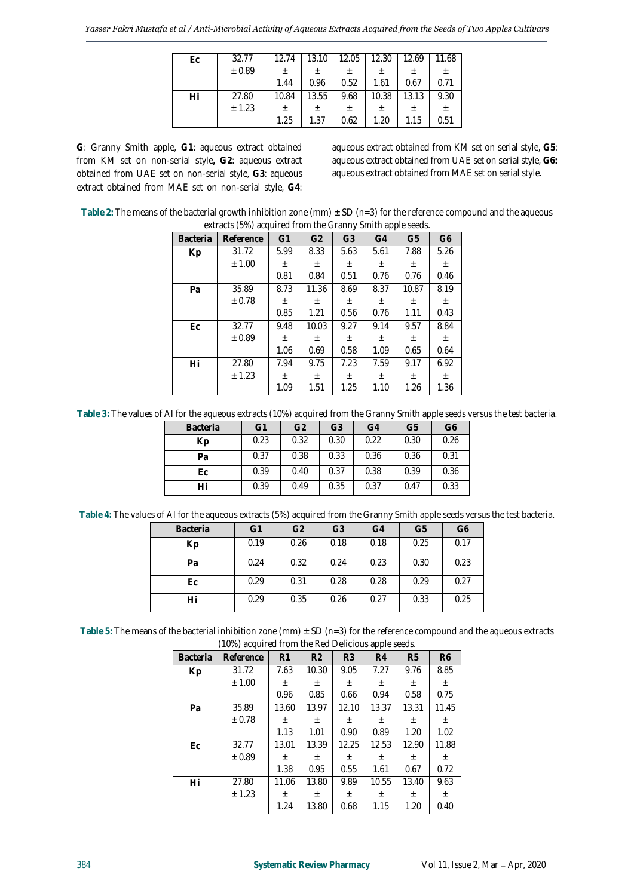| Ec | 32.77  | 12.74 | 13.10 | 12.05 | 12.30 | 12.69 | 11.68 |
|----|--------|-------|-------|-------|-------|-------|-------|
|    | ± 0.89 | 土     | 土     | 土     | 土     | 土     |       |
|    |        | 1.44  | 0.96  | 0.52  | 1.61  | 0.67  | 0.71  |
| Hi | 27.80  | 10.84 | 13.55 | 9.68  | 10.38 | 13.13 | 9.30  |
|    | ± 1.23 | 土     | 土     | 土     | 土     | 土     | 土     |
|    |        | 1.25  | 1.37  | 0.62  | 1.20  | 1.15  | 0.51  |

**G**: Granny Smith apple, **G1**: aqueous extract obtained from KM set on non-serial style**, G2**: aqueous extract obtained from UAE set on non-serial style, **G3**: aqueous extract obtained from MAE set on non-serial style, **G4**: aqueous extract obtained from KM set on serial style, **G5**: aqueous extract obtained from UAE set on serial style, **G6:**  aqueous extract obtained from MAE set on serial style.

|                 | extracts (5%) acquired from the Granny Smith apple seeds. |                |                |                |                |                |                |
|-----------------|-----------------------------------------------------------|----------------|----------------|----------------|----------------|----------------|----------------|
| <b>Bacteria</b> | Reference                                                 | G <sub>1</sub> | G <sub>2</sub> | G <sub>3</sub> | G <sub>4</sub> | G <sub>5</sub> | G <sub>6</sub> |
| Kp              | 31.72                                                     | 5.99           | 8.33           | 5.63           | 5.61           | 7.88           | 5.26           |
|                 | ± 1.00                                                    | 土              | 土              | 土              | 土              | 土              | $\pm$          |
|                 |                                                           | 0.81           | 0.84           | 0.51           | 0.76           | 0.76           | 0.46           |
| Pa              | 35.89                                                     | 8.73           | 11.36          | 8.69           | 8.37           | 10.87          | 8.19           |
|                 | $\pm$ 0.78                                                | $_{\pm}$       | 士              | $\pm$          | 土              | 土              | $\pm$          |
|                 |                                                           | 0.85           | 1.21           | 0.56           | 0.76           | 1.11           | 0.43           |
| Ec              | 32.77                                                     | 9.48           | 10.03          | 9.27           | 9.14           | 9.57           | 8.84           |
|                 | ± 0.89                                                    | $_{\pm}$       | $\pm$          | $\pm$          | $\pm$          | $\pm$          | $\pm$          |
|                 |                                                           | 1.06           | 0.69           | 0.58           | 1.09           | 0.65           | 0.64           |
| Hi              | 27.80                                                     | 7.94           | 9.75           | 7.23           | 7.59           | 9.17           | 6.92           |
|                 | ± 1.23                                                    | $_{\pm}$       | $_{\pm}$       | $_{\pm}$       | 土              | 土              | $\pm$          |
|                 |                                                           | 1.09           | 1.51           | 1.25           | 1.10           | 1.26           | 1.36           |

**Table 2:** The means of the bacterial growth inhibition zone (mm) ± SD (*n=3*) for the reference compound and the aqueous extracts (5%) acquired from the Granny Smith apple seeds.

**Table 3:** The values of AIfor the aqueous extracts (10%) acquired from the Granny Smith apple seeds versus the test bacteria.

| Bacteria | G1   | G <sub>2</sub> | G3   | G4   | G5   | G6   |
|----------|------|----------------|------|------|------|------|
| Kp       | 0.23 | 0.32           | 0.30 | 0.22 | 0.30 | 0.26 |
| Pa       | 0.37 | 0.38           | 0.33 | 0.36 | 0.36 | 0.31 |
| Еc       | 0.39 | 0.40           | 0.37 | 0.38 | 0.39 | 0.36 |
| Hi       | 0.39 | 0.49           | 0.35 | 0.37 | 0.47 | 0.33 |

**Table 4:** The values of AIfor the aqueous extracts (5%) acquired from the Granny Smith apple seeds versus the test bacteria.

| <b>Bacteria</b> | G1   | G <sub>2</sub> | G <sub>3</sub> | G4   | G <sub>5</sub> | G6   |
|-----------------|------|----------------|----------------|------|----------------|------|
| Кp              | 0.19 | 0.26           | 0.18           | 0.18 | 0.25           | 0.17 |
| Pa              | 0.24 | 0.32           | 0.24           | 0.23 | 0.30           | 0.23 |
| Еc              | 0.29 | 0.31           | 0.28           | 0.28 | 0.29           | 0.27 |
| Hi              | 0.29 | 0.35           | 0.26           | 0.27 | 0.33           | 0.25 |

**Table 5:** The means of the bacterial inhibition zone (mm) ± SD (*n=3*) for the reference compound and the aqueous extracts (10%) acquired from the Red Delicious apple seeds.

| <b>Bacteria</b> | Reference | R1       | R <sub>2</sub> | R <sub>3</sub> | R <sub>4</sub> | R <sub>5</sub> | R <sub>6</sub> |
|-----------------|-----------|----------|----------------|----------------|----------------|----------------|----------------|
| Kp              | 31.72     | 7.63     | 10.30          | 9.05           | 7.27           | 9.76           | 8.85           |
|                 | ± 1.00    | 士        | 士              | $\pm$          | $\pm$          | $_{\pm}$       | $\pm$          |
|                 |           | 0.96     | 0.85           | 0.66           | 0.94           | 0.58           | 0.75           |
| Pa              | 35.89     | 13.60    | 13.97          | 12.10          | 13.37          | 13.31          | 11.45          |
|                 | ± 0.78    | $\pm$    | $\pm$          | $_{\pm}$       | $\pm$          | $_{\pm}$       | $_{\pm}$       |
|                 |           | 1.13     | 1.01           | 0.90           | 0.89           | 1.20           | 1.02           |
| Ec              | 32.77     | 13.01    | 13.39          | 12.25          | 12.53          | 12.90          | 11.88          |
|                 | ± 0.89    | $_{\pm}$ | $\pm$          | $_{\pm}$       | $_{\pm}$       | $_{\pm}$       | 土              |
|                 |           | 1.38     | 0.95           | 0.55           | 1.61           | 0.67           | 0.72           |
| Hi              | 27.80     | 11.06    | 13.80          | 9.89           | 10.55          | 13.40          | 9.63           |
|                 | ± 1.23    | $_{\pm}$ | $_{\pm}$       | $\pm$          | $_{\pm}$       | $_{\pm}$       | $\pm$          |
|                 |           | 1.24     | 13.80          | 0.68           | 1.15           | 1.20           | 0.40           |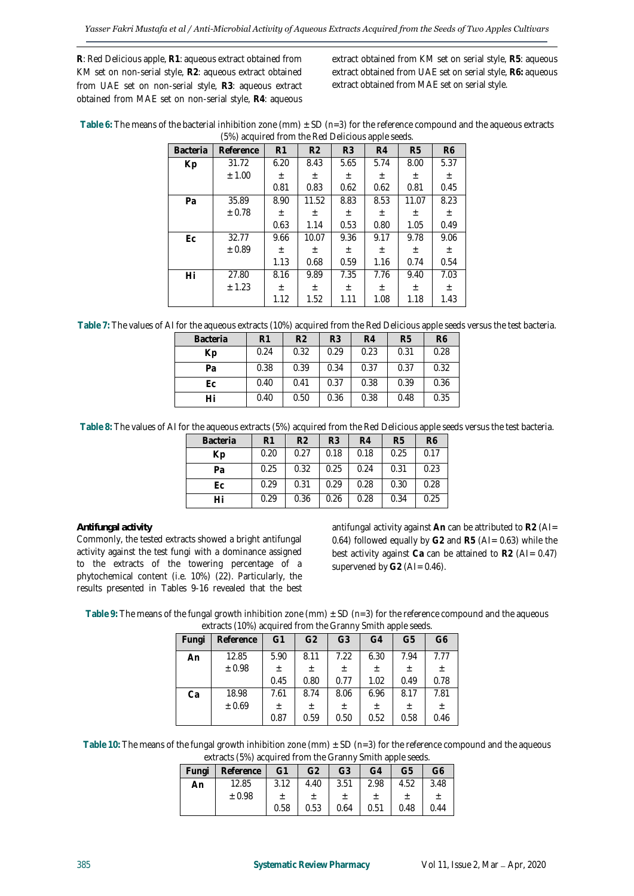**R**: Red Delicious apple, **R1**: aqueous extract obtained from KM set on non-serial style, **R2**: aqueous extract obtained from UAE set on non-serial style, **R3**: aqueous extract obtained from MAE set on non-serial style, **R4**: aqueous extract obtained from KM set on serial style, **R5**: aqueous extract obtained from UAE set on serial style, **R6:** aqueous extract obtained from MAE set on serial style.

| Table 6: The means of the bacterial inhibition zone (mm) $\pm$ SD ( $n=3$ ) for the reference compound and the aqueous extracts |
|---------------------------------------------------------------------------------------------------------------------------------|
| (5%) acquired from the Red Delicious apple seeds.                                                                               |

| Bacteria | Reference | R1       | R <sub>2</sub> | R <sub>3</sub> | R <sub>4</sub> | R <sub>5</sub> | R <sub>6</sub> |
|----------|-----------|----------|----------------|----------------|----------------|----------------|----------------|
| Kp       | 31.72     | 6.20     | 8.43           | 5.65           | 5.74           | 8.00           | 5.37           |
|          | ± 1.00    | $_{\pm}$ | $\pm$          | $\pm$          | $\pm$          | $\pm$          | $\pm$          |
|          |           | 0.81     | 0.83           | 0.62           | 0.62           | 0.81           | 0.45           |
| Pa       | 35.89     | 8.90     | 11.52          | 8.83           | 8.53           | 11.07          | 8.23           |
|          | ± 0.78    | $_{\pm}$ | $\pm$          | $_{\pm}$       | $\pm$          | $\pm$          | $\pm$          |
|          |           | 0.63     | 1.14           | 0.53           | 0.80           | 1.05           | 0.49           |
| Ec       | 32.77     | 9.66     | 10.07          | 9.36           | 9.17           | 9.78           | 9.06           |
|          | ± 0.89    | $_{\pm}$ | $\pm$          | $_{\pm}$       | $\pm$          | $\pm$          | $\pm$          |
|          |           | 1.13     | 0.68           | 0.59           | 1.16           | 0.74           | 0.54           |
| Hi       | 27.80     | 8.16     | 9.89           | 7.35           | 7.76           | 9.40           | 7.03           |
|          | ± 1.23    | $_{\pm}$ | $\pm$          | $_{\pm}$       | $\pm$          | $\pm$          | $\pm$          |
|          |           | 1.12     | 1.52           | 1.11           | 1.08           | 1.18           | 1.43           |

**Table 7:** The values of AIfor the aqueous extracts (10%) acquired from the Red Delicious apple seeds versus the test bacteria.

| <b>Bacteria</b> | R <sub>1</sub> | R <sub>2</sub> | R3   | R <sub>4</sub> | R <sub>5</sub> | R <sub>6</sub> |
|-----------------|----------------|----------------|------|----------------|----------------|----------------|
| Кp              | 0.24           | 0.32           | 0.29 | 0.23           | 0.31           | 0.28           |
| Pa              | 0.38           | 0.39           | 0.34 | 0.37           | 0.37           | 0.32           |
| Еc              | 0.40           | 0.41           | 0.37 | 0.38           | 0.39           | 0.36           |
|                 | 0.40           | 0.50           | 0.36 | 0.38           | 0.48           | 0.35           |

**Table 8:** The values of AIfor the aqueous extracts (5%) acquired from the Red Delicious apple seeds versus the test bacteria.

| <b>Bacteria</b> | R <sub>1</sub> | R <sub>2</sub> | R <sub>3</sub> | R4   | R <sub>5</sub> | R <sub>6</sub> |
|-----------------|----------------|----------------|----------------|------|----------------|----------------|
| Кp              | 0.20           | 0.27           | 0.18           | 0.18 | 0.25           | 0.17           |
| Pa              | 0.25           | 0.32           | 0.25           | 0.24 | 0.31           | 0.23           |
| Еc              | 0.29           | 0.31           | 0.29           | 0.28 | 0.30           | 0.28           |
| Hi              | 0.29           | 0.36           | 0.26           | 0.28 | 0.34           | 0.25           |

*Antifungal activity*

Commonly, the tested extracts showed a bright antifungal activity against the test fungi with a dominance assigned to the extracts of the towering percentage of a phytochemical content (i.e. 10%) (22). Particularly, the results presented in Tables 9-16 revealed that the best antifungal activity against **An** can be attributed to **R2** (AI= 0.64) followed equally by **G2** and **R5** (AI= 0.63) while the best activity against **Ca** can be attained to **R2** (AI= 0.47) supervened by G2 (AI= 0.46).

| Table 9: The means of the fungal growth inhibition zone (mm) $\pm$ SD ( $n=3$ ) for the reference compound and the aqueous |
|----------------------------------------------------------------------------------------------------------------------------|
| extracts (10%) acquired from the Granny Smith annie seeds                                                                  |

|       | extracts (1070) acquired inonimitie Ordinity Simitir apple secus. |                |                |                |      |                |                |
|-------|-------------------------------------------------------------------|----------------|----------------|----------------|------|----------------|----------------|
| Fungi | Reference                                                         | G <sub>1</sub> | G <sub>2</sub> | G <sub>3</sub> | G4   | G <sub>5</sub> | G <sub>6</sub> |
| An    | 12.85                                                             | 5.90           | 8.11           | 7.22           | 6.30 | 7.94           | 7.77           |
|       | ± 0.98                                                            | $\pm$          | 土              | 土              | 土    | $\pm$          | 土              |
|       |                                                                   | 0.45           | 0.80           | 0.77           | 1.02 | 0.49           | 0.78           |
| Ca    | 18.98                                                             | 7.61           | 8.74           | 8.06           | 6.96 | 8.17           | 7.81           |
|       | ± 0.69                                                            | $\pm$          | 土              | $\pm$          | 土    | 土              | 土              |
|       |                                                                   | 0.87           | 0.59           | 0.50           | 0.52 | 0.58           | 0.46           |

Table 10: The means of the fungal growth inhibition zone (mm)  $\pm$  SD ( $n=3$ ) for the reference compound and the aqueous extracts (5%) acquired from the Granny Smith apple seeds.

| Fungi | Reference | G1   | G <sub>2</sub> | G3   | G4   | G5   | G6   |  |  |  |
|-------|-----------|------|----------------|------|------|------|------|--|--|--|
| An    | 12.85     | 3.12 | 4.40           | 3.51 | 2.98 | 4.52 | 3.48 |  |  |  |
|       | ± 0.98    |      |                |      |      |      |      |  |  |  |
|       |           | 0.58 | 0.53           | 0.64 | 0.51 | 0.48 | 0.44 |  |  |  |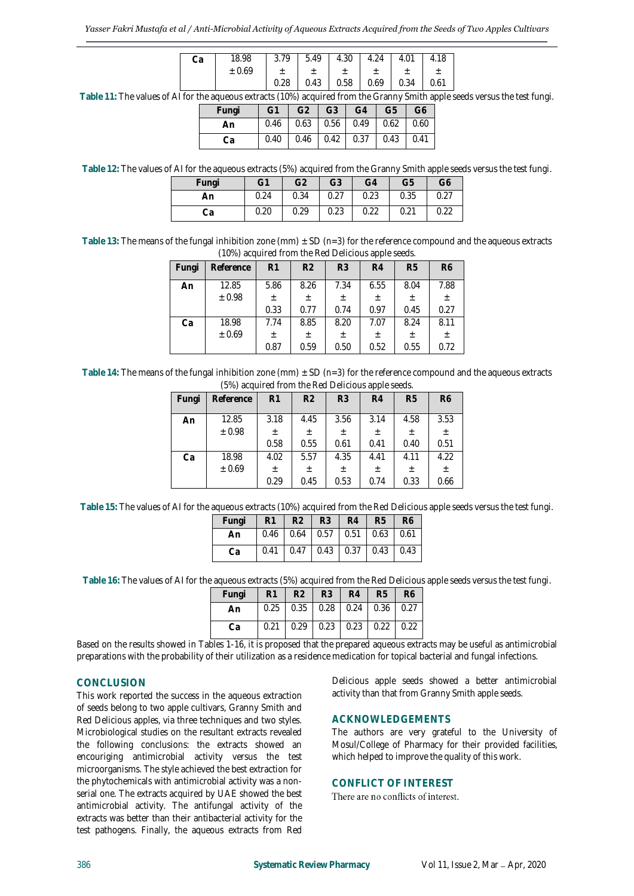| Cа | 18.98  | 79<br>3. | 5.49 | 4.30 | 4.24 | 4.01 |      |
|----|--------|----------|------|------|------|------|------|
|    | ± 0.69 |          |      |      |      |      |      |
|    |        |          | 0.43 | 0.58 | 0.69 | 0.34 | 0.61 |

**Table 11:** The values of AIfor the aqueous extracts (10%) acquired from the Granny Smith apple seeds versus the test fungi.

| Fungi | $-G1$ | G2   G3   G4   G5   G6          |  |  |
|-------|-------|---------------------------------|--|--|
| An    |       | $0.46$ 0.63 0.56 0.49 0.62 0.60 |  |  |
|       |       | $0.40$ 0.46 0.42 0.37 0.43 0.41 |  |  |

**Table 12:** The values of AIfor the aqueous extracts (5%) acquired from the Granny Smith apple seeds versus the test fungi.

| Fungi | G1   | G <sub>2</sub> | G <sub>3</sub> | G4   | G <sub>5</sub> | G6   |
|-------|------|----------------|----------------|------|----------------|------|
| An    | 0.24 | 0.34           | 0.27           | 0.23 | 0.35           | 0.27 |
| Сa    | 0.20 | 0.29           | 0.23           | 0.22 | 0.21           | 0.22 |

Table 13: The means of the fungal inhibition zone (mm)  $\pm$  SD ( $n=3$ ) for the reference compound and the aqueous extracts (10%) acquired from the Red Delicious apple seeds.

| (TO70) acquired inoin the real Deneious apple seeas. |           |          |                |                |       |                |                |  |
|------------------------------------------------------|-----------|----------|----------------|----------------|-------|----------------|----------------|--|
| Fungi                                                | Reference | R1       | R <sub>2</sub> | R <sub>3</sub> | R4    | R <sub>5</sub> | R <sub>6</sub> |  |
| An                                                   | 12.85     | 5.86     | 8.26           | 7.34           | 6.55  | 8.04           | 7.88           |  |
|                                                      | ± 0.98    | 土        | $\pm$          | $\pm$          | $\pm$ | $\pm$          | 土              |  |
|                                                      |           | 0.33     | 0.77           | 0.74           | 0.97  | 0.45           | 0.27           |  |
| Ca                                                   | 18.98     | 7.74     | 8.85           | 8.20           | 7.07  | 8.24           | 8.11           |  |
|                                                      | ± 0.69    | $_{\pm}$ | 土              | 土              | 土     | $\pm$          | $_{\pm}$       |  |
|                                                      |           | 0.87     | 0.59           | 0.50           | 0.52  | 0.55           | 0.72           |  |

**Table 14:** The means of the fungal inhibition zone (mm) ± SD (*n=3*) for the reference compound and the aqueous extracts (5%) acquired from the Red Delicious apple seeds.

| Fungi | Reference | R <sub>1</sub> | R <sub>2</sub> | R <sub>3</sub> | R4    | R <sub>5</sub> | R <sub>6</sub> |  |
|-------|-----------|----------------|----------------|----------------|-------|----------------|----------------|--|
| An    | 12.85     | 3.18           | 4.45           | 3.56           | 3.14  | 4.58           | 3.53           |  |
|       | ± 0.98    | Ŧ.             | 土              | 土              | 土     | 土              | 土              |  |
|       |           | 0.58           | 0.55           | 0.61           | 0.41  | 0.40           | 0.51           |  |
| Ca    | 18.98     | 4.02           | 5.57           | 4.35           | 4.41  | 4.11           | 4.22           |  |
|       | ± 0.69    | $_{\pm}$       | 土              | 土              | $\pm$ | 土              | $\pm$          |  |
|       |           | 0.29           | 0.45           | 0.53           | 0.74  | 0.33           | 0.66           |  |

**Table 15:** The values of AIfor the aqueous extracts (10%) acquired from the Red Delicious apple seeds versus the test fungi.

| Fungi | R1 | $R2$ $R3$ $R4$                  |  | R5 | R <sub>6</sub> |
|-------|----|---------------------------------|--|----|----------------|
| An    |    |                                 |  |    |                |
|       |    | $0.41$ 0.47 0.43 0.37 0.43 0.43 |  |    |                |

**Table 16:** The values of AIfor the aqueous extracts (5%) acquired from the Red Delicious apple seeds versus the test fungi.

| Fungi | <b>R1</b> | R2 | <b>R3</b>                                 | R4 | <b>R5</b> | R <sub>6</sub> |
|-------|-----------|----|-------------------------------------------|----|-----------|----------------|
| An    |           |    | $0.25$ 0.35 0.28 0.24 0.36 0.27           |    |           |                |
| Cа    |           |    | $0.21$   0.29   0.23   0.23   0.22   0.22 |    |           |                |

Based on the results showed in Tables 1-16, it is proposed that the prepared aqueous extracts may be useful as antimicrobial preparations with the probability of their utilization as a residence medication for topical bacterial and fungal infections.

# **CONCLUSION**

This work reported the success in the aqueous extraction of seeds belong to two apple cultivars, Granny Smith and Red Delicious apples, via three techniques and two styles. Microbiological studies on the resultant extracts revealed the following conclusions: the extracts showed an encouriging antimicrobial activity versus the test microorganisms. The style achieved the best extraction for the phytochemicals with antimicrobial activity was a nonserial one. The extracts acquired by UAE showed the best antimicrobial activity. The antifungal activity of the extracts was better than their antibacterial activity for the test pathogens. Finally, the aqueous extracts from Red

Delicious apple seeds showed a better antimicrobial activity than that from Granny Smith apple seeds.

# **ACKNOWLEDGEMENTS**

The authors are very grateful to the University of Mosul/College of Pharmacy for their provided facilities, which helped to improve the quality of this work.

# **CONFLICT OF INTEREST**

There are no conflicts of interest.